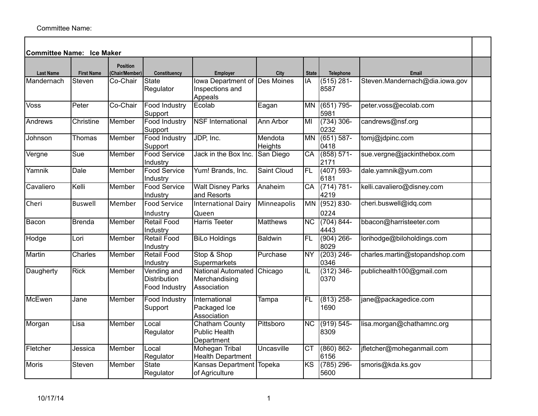| <b>Committee Name: Ice Maker</b> |                   |                                   |                                              |                                                             |                    |                        |                       |                                |  |
|----------------------------------|-------------------|-----------------------------------|----------------------------------------------|-------------------------------------------------------------|--------------------|------------------------|-----------------------|--------------------------------|--|
| <b>Last Name</b>                 | <b>First Name</b> | <b>Position</b><br>(Chair/Member) | Constituency                                 | <b>Employer</b>                                             | City               | <b>State</b>           | Telephone             | Email                          |  |
| Mandernach                       | Steven            | Co-Chair                          | State<br>Regulator                           | Iowa Department of Des Moines<br>Inspections and<br>Appeals |                    | IA                     | $(515) 281 -$<br>8587 | Steven.Mandernach@dia.iowa.gov |  |
| Voss                             | Peter             | Co-Chair                          | <b>Food Industry</b><br>Support              | Ecolab                                                      | Eagan              | <b>MN</b>              | (651) 795-<br>5981    | peter.voss@ecolab.com          |  |
| Andrews                          | Christine         | Member                            | <b>Food Industry</b><br>Support              | <b>NSF</b> International                                    | Ann Arbor          | MI                     | $(734)$ 306-<br>0232  | candrews@nsf.org               |  |
| Johnson                          | Thomas            | Member                            | Food Industry<br>Support                     | JDP, Inc.                                                   | Mendota<br>Heights | <b>MN</b>              | $(651) 587 -$<br>0418 | tomj@jdpinc.com                |  |
| Vergne                           | $\overline{Sue}$  | Member                            | <b>Food Service</b><br>Industry              | Jack in the Box Inc.                                        | San Diego          | $\overline{CA}$        | $(858) 571-$<br>2171  | sue.vergne@jackinthebox.com    |  |
| Yamnik                           | Dale              | Member                            | <b>Food Service</b><br>Industry              | Yum! Brands, Inc.                                           | Saint Cloud        | FL                     | $(407) 593-$<br>6181  | dale.yamnik@yum.com            |  |
| Cavaliero                        | Kelli             | Member                            | <b>Food Service</b><br>Industry              | <b>Walt Disney Parks</b><br>and Resorts                     | Anaheim            | $\overline{CA}$        | $(714) 781 -$<br>4219 | kelli.cavaliero@disney.com     |  |
| Cheri                            | <b>Buswell</b>    | Member                            | <b>Food Service</b><br>Industry              | <b>International Dairy</b><br>Queen                         | Minneapolis        | MN                     | (952) 830-<br>0224    | cheri.buswell@idq.com          |  |
| Bacon                            | Brenda            | Member                            | <b>Retail Food</b><br>Industry               | <b>Harris Teeter</b>                                        | <b>Matthews</b>    | $\overline{\text{NC}}$ | $(704) 844 -$<br>4443 | bbacon@harristeeter.com        |  |
| Hodge                            | Lori              | Member                            | <b>Retail Food</b><br>Industry               | <b>BiLo Holdings</b>                                        | Baldwin            | $\overline{FL}$        | $(904)$ 266-<br>8029  | lorihodge@biloholdings.com     |  |
| Martin                           | Charles           | Member                            | <b>Retail Food</b><br>Industry               | Stop & Shop<br>Supermarkets                                 | Purchase           | NY                     | $(203)$ 246-<br>0346  | charles.martin@stopandshop.com |  |
| Daugherty                        | <b>Rick</b>       | Member                            | Vending and<br>Distribution<br>Food Industry | National Automated<br>Merchandising<br>Association          | Chicago            | IL                     | $(312)$ 346-<br>0370  | publichealth100@gmail.com      |  |
| McEwen                           | Jane              | Member                            | <b>Food Industry</b><br>Support              | International<br>Packaged Ice<br>Association                | Tampa              | FL.                    | $(813)$ 258-<br>1690  | jane@packagedice.com           |  |
| Morgan                           | Lisa              | Member                            | Local<br>Regulator                           | <b>Chatham County</b><br>Public Health<br>Department        | Pittsboro          | $\overline{\text{NC}}$ | $(919) 545 -$<br>8309 | lisa.morgan@chathamnc.org      |  |
| Fletcher                         | Jessica           | Member                            | Local<br>Regulator                           | <b>Mohegan Tribal</b><br><b>Health Department</b>           | Uncasville         | $\overline{\text{CT}}$ | $(860) 862 -$<br>6156 | jfletcher@moheganmail.com      |  |
| Moris                            | Steven            | Member                            | State<br>Regulator                           | Kansas Department<br>of Agriculture                         | Topeka             | $\overline{\text{KS}}$ | $(785)$ 296-<br>5600  | smoris@kda.ks.gov              |  |